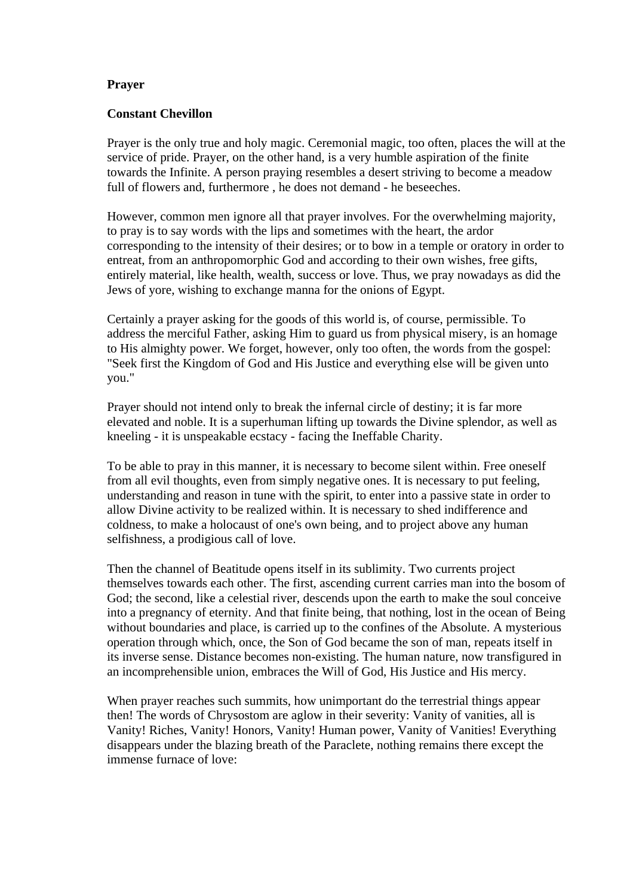## **Prayer**

## **Constant Chevillon**

Prayer is the only true and holy magic. Ceremonial magic, too often, places the will at the service of pride. Prayer, on the other hand, is a very humble aspiration of the finite towards the Infinite. A person praying resembles a desert striving to become a meadow full of flowers and, furthermore , he does not demand - he beseeches.

However, common men ignore all that prayer involves. For the overwhelming majority, to pray is to say words with the lips and sometimes with the heart, the ardor corresponding to the intensity of their desires; or to bow in a temple or oratory in order to entreat, from an anthropomorphic God and according to their own wishes, free gifts, entirely material, like health, wealth, success or love. Thus, we pray nowadays as did the Jews of yore, wishing to exchange manna for the onions of Egypt.

Certainly a prayer asking for the goods of this world is, of course, permissible. To address the merciful Father, asking Him to guard us from physical misery, is an homage to His almighty power. We forget, however, only too often, the words from the gospel: "Seek first the Kingdom of God and His Justice and everything else will be given unto you."

Prayer should not intend only to break the infernal circle of destiny; it is far more elevated and noble. It is a superhuman lifting up towards the Divine splendor, as well as kneeling - it is unspeakable ecstacy - facing the Ineffable Charity.

To be able to pray in this manner, it is necessary to become silent within. Free oneself from all evil thoughts, even from simply negative ones. It is necessary to put feeling, understanding and reason in tune with the spirit, to enter into a passive state in order to allow Divine activity to be realized within. It is necessary to shed indifference and coldness, to make a holocaust of one's own being, and to project above any human selfishness, a prodigious call of love.

Then the channel of Beatitude opens itself in its sublimity. Two currents project themselves towards each other. The first, ascending current carries man into the bosom of God; the second, like a celestial river, descends upon the earth to make the soul conceive into a pregnancy of eternity. And that finite being, that nothing, lost in the ocean of Being without boundaries and place, is carried up to the confines of the Absolute. A mysterious operation through which, once, the Son of God became the son of man, repeats itself in its inverse sense. Distance becomes non-existing. The human nature, now transfigured in an incomprehensible union, embraces the Will of God, His Justice and His mercy.

When prayer reaches such summits, how unimportant do the terrestrial things appear then! The words of Chrysostom are aglow in their severity: Vanity of vanities, all is Vanity! Riches, Vanity! Honors, Vanity! Human power, Vanity of Vanities! Everything disappears under the blazing breath of the Paraclete, nothing remains there except the immense furnace of love: